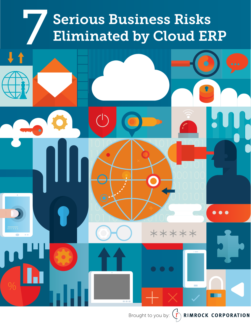# Serious Business Risks<br>Eliminated by Cloud ERP



Brought to you by:  $\left(\overrightarrow{r}\right)$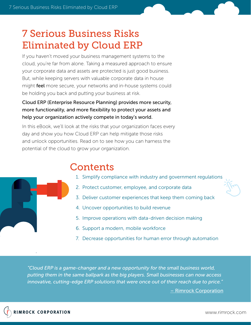# 7 Serious Business Risks Eliminated by Cloud ERP

If you haven't moved your business management systems to the cloud, you're far from alone. Taking a measured approach to ensure your corporate data and assets are protected is just good business. But, while keeping servers with valuable corporate data in house might **feel** more secure, your networks and in-house systems could be holding you back and putting your business at risk.

#### Cloud ERP (Enterprise Resource Planning) provides more security, more functionality, and more flexibility to protect your assets and help your organization actively compete in today's world.

In this eBook, we'll look at the risks that your organization faces every day and show you how Cloud ERP can help mitigate those risks and unlock opportunities. Read on to see how you can harness the potential of the cloud to grow your organization.

# **Contents**

- 1. Simplify compliance with industry and government regulations
- 2. Protect customer, employee, and corporate data
- 3. Deliver customer experiences that keep them coming back
- 4. Uncover opportunities to build revenue
- 5. Improve operations with data-driven decision making
- 6. Support a modern, mobile workforce
- 7. Decrease opportunities for human error through automation

*"Cloud ERP is a game-changer and a new opportunity for the small business world, putting them in the same ballpark as the big players. Small businesses can now access innovative, cutting-edge ERP solutions that were once out of their reach due to price."*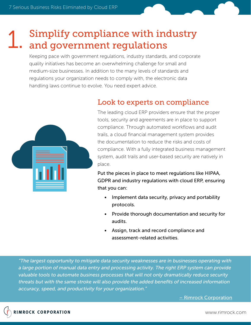## Simplify compliance with industry and government regulations 1.

Keeping pace with government regulations, industry standards, and corporate quality initiatives has become an overwhelming challenge for small and medium-size businesses. In addition to the many levels of standards and regulations your organization needs to comply with, the electronic data handling laws continue to evolve. You need expert advice.



## Look to experts on compliance

The leading cloud ERP providers ensure that the proper tools, security and agreements are in place to support compliance. Through automated workflows and audit trails, a cloud financial management system provides the documentation to reduce the risks and costs of compliance. With a fully integrated business management system, audit trails and user-based security are natively in place.

Put the pieces in place to meet regulations like HIPAA, GDPR and industry regulations with cloud ERP, ensuring that you can:

- Implement data security, privacy and portability protocols.
- Provide thorough documentation and security for audits.
- Assign, track and record compliance and assessment-related activities.

*"The largest opportunity to mitigate data security weaknesses are in businesses operating with a large portion of manual data entry and processing activity. The right ERP system can provide valuable tools to automate business processes that will not only dramatically reduce security threats but with the same stroke will also provide the added benefits of increased information accuracy, speed, and productivity for your organization."*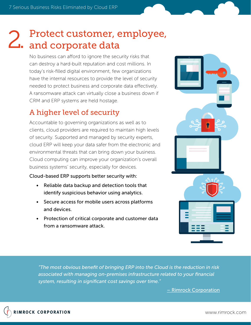# Protect customer, employee, 2. Protect customer,  $\alpha$ <br>2. and corporate data

No business can afford to ignore the security risks that can destroy a hard-built reputation and cost millions. In today's risk-filled digital environment, few organizations have the internal resources to provide the level of security needed to protect business and corporate data effectively. A ransomware attack can virtually close a business down if CRM and ERP systems are held hostage.

# A higher level of security

Accountable to governing organizations as well as to clients, cloud providers are required to maintain high levels of security. Supported and managed by security experts, cloud ERP will keep your data safer from the electronic and environmental threats that can bring down your business. Cloud computing can improve your organization's overall business systems' security, especially for devices.

Cloud-based ERP supports better security with:

- Reliable data backup and detection tools that identify suspicious behavior using analytics.
- Secure access for mobile users across platforms and devices.
- Protection of critical corporate and customer data from a ransomware attack.



*"The most obvious benefit of bringing ERP into the Cloud is the reduction in risk associated with managing on-premises infrastructure related to your financial system, resulting in significant cost savings over time."*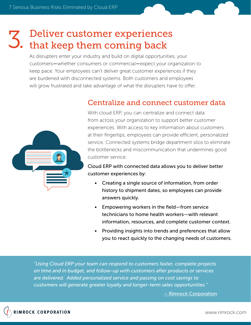# Deliver customer experiences 3. Deliver customer experience<br>3. that keep them coming back

As disrupters enter your industry and build on digital opportunities, your customers—whether consumers or commercial—expect your organization to keep pace. Your employees can't deliver great customer experiences if they are burdened with disconnected systems. Both customers and employees will grow frustrated and take advantage of what the disrupters have to offer.



## Centralize and connect customer data

With cloud ERP, you can centralize and connect data from across your organization to support better customer experiences. With access to key information about customers at their fingertips, employees can provide efficient, personalized service. Connected systems bridge department silos to eliminate the bottlenecks and miscommunication that undermines good customer service.

Cloud ERP with connected data allows you to deliver better customer experiences by:

- Creating a single source of information, from order history to shipment dates, so employees can provide answers quickly.
- Empowering workers in the field—from service technicians to home health workers—with relevant information, resources, and complete customer context.
- Providing insights into trends and preferences that allow you to react quickly to the changing needs of customers.

*"Using Cloud ERP your team can respond to customers faster, complete projects on time and in budget, and follow-up with customers after products or services are delivered. Added personalized service and passing on cost savings to customers will generate greater loyalty and longer-term sales opportunities."*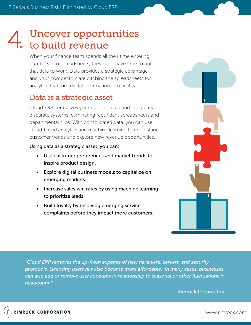## Uncover opportunities to build revenue 4.

When your finance team spends all their time entering numbers into spreadsheets, they don't have time to put that data to work. Data provides a strategic advantage and your competitors are ditching the spreadsheets for analytics that turn digital information into profits.

## Data is a strategic asset

Cloud ERP centralizes your business data and integrates disparate systems, eliminating redundant spreadsheets and departmental silos. With consolidated data, you can use cloud-based analytics and machine learning to understand customer trends and explore new revenue opportunities.

#### Using data as a strategic asset, you can:

- Use customer preferences and market trends to inspire product design.
- Explore digital business models to capitalize on emerging markets.
- Increase sales win rates by using machine learning to prioritize leads.
- Build loyalty by resolving emerging service complaints before they impact more customers.



*"Cloud ERP removes the up-front expense of new hardware, servers, and security protocols. Licensing users has also become more a"ordable. In many cases, businesses can also add or remove user accounts in relationship to seasonal or other fluctuations in headcount."* 

– Rimrock Corporation

www.rimrock.com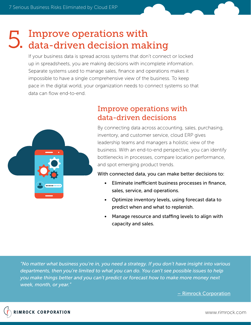# Improve operations with 5. Improve operations with<br>5. data-driven decision making

If your business data is spread across systems that don't connect or locked up in spreadsheets, you are making decisions with incomplete information. Separate systems used to manage sales, finance and operations makes it impossible to have a single comprehensive view of the business. To keep pace in the digital world, your organization needs to connect systems so that data can flow end-to-end.



## Improve operations with data-driven decisions

By connecting data across accounting, sales, purchasing, inventory, and customer service, cloud ERP gives leadership teams and managers a holistic view of the business. With an end-to-end perspective, you can identify bottlenecks in processes, compare location performance, and spot emerging product trends.

With connected data, you can make better decisions to:

- Eliminate inefficient business processes in finance, sales, service, and operations.
- Optimize inventory levels, using forecast data to predict when and what to replenish.
- Manage resource and staffing levels to align with capacity and sales.

*"No matter what business you're in, you need a strategy. If you don't have insight into various departments, then you're limited to what you can do. You can't see possible issues to help you make things better and you can't predict or forecast how to make more money next week, month, or year."*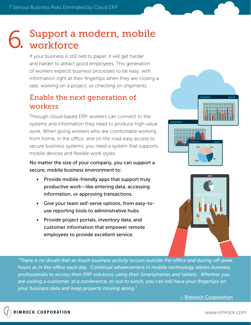# Support a modern, mobile 6. Support a<br>6. workforce

If your business is still tied to paper, it will get harder and harder to attract good employees. This generation of workers expects business processes to be easy, with information right at their fingertips when they are closing a sale, working on a project, or checking on shipments.

## Enable the next generation of workers

Through cloud-based ERP, workers can connect to the systems and information they need to produce high-value work. When giving workers who are comfortable working from home, in the office, and on the road easy access to secure business systems, you need a system that supports mobile devices and flexible work styles.

No matter the size of your company, you can support a secure, mobile business environment to:

- Provide mobile-friendly apps that support truly productive work—like entering data, accessing information, or approving transactions.
- Give your team self-serve options, from easy-touse reporting tools to administrative hubs.
- Provide project portals, inventory data, and customer information that empower remote employees to provide excellent service.





*"There is no doubt that as much business activity occurs outside the o#ce and during o"-peak hours as in the o#ce each day. Continual advancement in mobile technology allows business professionals to access their ERP solutions using their Smartphones and tablets. Whether you are visiting a customer, at a conference, or out to lunch, you can still have your fingertips on your business data and keep projects moving along."* 

– Rimrock Corporation

www.rimrock.com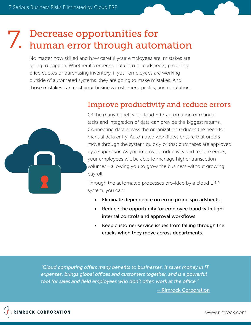# Decrease opportunities for 7. Decrease opportunities for<br>7. human error through automation

No matter how skilled and how careful your employees are, mistakes are going to happen. Whether it's entering data into spreadsheets, providing price quotes or purchasing inventory, if your employees are working outside of automated systems, they are going to make mistakes. And those mistakes can cost your business customers, profits, and reputation.



## Improve productivity and reduce errors

Of the many benefits of cloud ERP, automation of manual tasks and integration of data can provide the biggest returns. Connecting data across the organization reduces the need for manual data entry. Automated workflows ensure that orders move through the system quickly or that purchases are approved by a supervisor. As you improve productivity and reduce errors, your employees will be able to manage higher transaction volumes—allowing you to grow the business without growing payroll.

Through the automated processes provided by a cloud ERP system, you can:

- Eliminate dependence on error-prone spreadsheets.
- Reduce the opportunity for employee fraud with tight internal controls and approval workflows.
- Keep customer service issues from falling through the cracks when they move across departments.

*"Cloud computing o"ers many benefits to businesses. It saves money in IT expenses, brings global o#ces and customers together, and is a powerful*  tool for sales and field employees who don't often work at the office."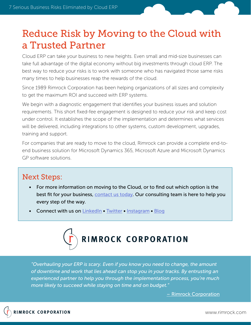# Reduce Risk by Moving to the Cloud with a Trusted Partner

Cloud ERP can take your business to new heights. Even small and mid-size businesses can take full advantage of the digital economy without big investments through cloud ERP. The best way to reduce your risks is to work with someone who has navigated those same risks many times to help businesses reap the rewards of the cloud.

Since 1989 Rimrock Corporation has been helping organizations of all sizes and complexity to get the maximum ROI and succeed with ERP systems.

We begin with a diagnostic engagement that identifies your business issues and solution requirements. This short fixed-fee engagement is designed to reduce your risk and keep cost under control. It establishes the scope of the implementation and determines what services will be delivered, including integrations to other systems, custom development, upgrades, training and support.

For companies that are ready to move to the cloud, Rimrock can provide a complete end-toend business solution for Microsoft Dynamics 365, Microsoft Azure and Microsoft Dynamics GP software solutions.

### Next Steps:

- For more information on moving to the Cloud, or to find out which option is the best fit for your business, contact us today. Our consulting team is here to help you every step of the way.
- Connect with us on LinkedIn Twitter Instagram Blog



*"Overhauling your ERP is scary. Even if you know you need to change, the amount of downtime and work that lies ahead can stop you in your tracks. By entrusting an experienced partner to help you through the implementation process, you're much more likely to succeed while staying on time and on budget."*